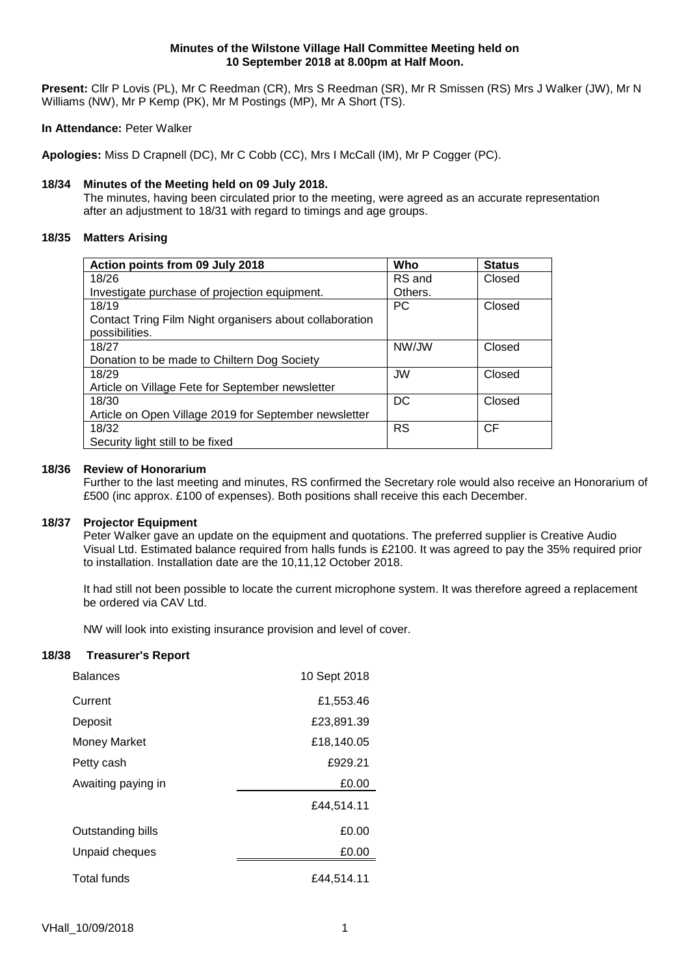#### **Minutes of the Wilstone Village Hall Committee Meeting held on 10 September 2018 at 8.00pm at Half Moon.**

**Present:** Cllr P Lovis (PL), Mr C Reedman (CR), Mrs S Reedman (SR), Mr R Smissen (RS) Mrs J Walker (JW), Mr N Williams (NW), Mr P Kemp (PK), Mr M Postings (MP), Mr A Short (TS).

### **In Attendance:** Peter Walker

**Apologies:** Miss D Crapnell (DC), Mr C Cobb (CC), Mrs I McCall (IM), Mr P Cogger (PC).

# **18/34 Minutes of the Meeting held on 09 July 2018.**

The minutes, having been circulated prior to the meeting, were agreed as an accurate representation after an adjustment to 18/31 with regard to timings and age groups.

# **18/35 Matters Arising**

| Action points from 09 July 2018                         | Who       | <b>Status</b> |
|---------------------------------------------------------|-----------|---------------|
| 18/26                                                   | RS and    | Closed        |
| Investigate purchase of projection equipment.           | Others.   |               |
| 18/19                                                   | <b>PC</b> | Closed        |
| Contact Tring Film Night organisers about collaboration |           |               |
| possibilities.                                          |           |               |
| 18/27                                                   | NW/JW     | Closed        |
| Donation to be made to Chiltern Dog Society             |           |               |
| 18/29                                                   | <b>JW</b> | Closed        |
| Article on Village Fete for September newsletter        |           |               |
| 18/30                                                   | DC        | Closed        |
| Article on Open Village 2019 for September newsletter   |           |               |
| 18/32                                                   | <b>RS</b> | <b>CF</b>     |
| Security light still to be fixed                        |           |               |

# **18/36 Review of Honorarium**

Further to the last meeting and minutes, RS confirmed the Secretary role would also receive an Honorarium of £500 (inc approx. £100 of expenses). Both positions shall receive this each December.

#### **18/37 Projector Equipment**

Peter Walker gave an update on the equipment and quotations. The preferred supplier is Creative Audio Visual Ltd. Estimated balance required from halls funds is £2100. It was agreed to pay the 35% required prior to installation. Installation date are the 10,11,12 October 2018.

It had still not been possible to locate the current microphone system. It was therefore agreed a replacement be ordered via CAV Ltd.

NW will look into existing insurance provision and level of cover.

# **18/38 Treasurer's Report**

| <b>Balances</b>    | 10 Sept 2018 |  |
|--------------------|--------------|--|
| Current            | £1,553.46    |  |
| Deposit            | £23,891.39   |  |
| Money Market       | £18,140.05   |  |
| Petty cash         | £929.21      |  |
| Awaiting paying in | £0.00        |  |
|                    | £44,514.11   |  |
| Outstanding bills  | £0.00        |  |
| Unpaid cheques     | £0.00        |  |
| Total funds        | £44,514.11   |  |